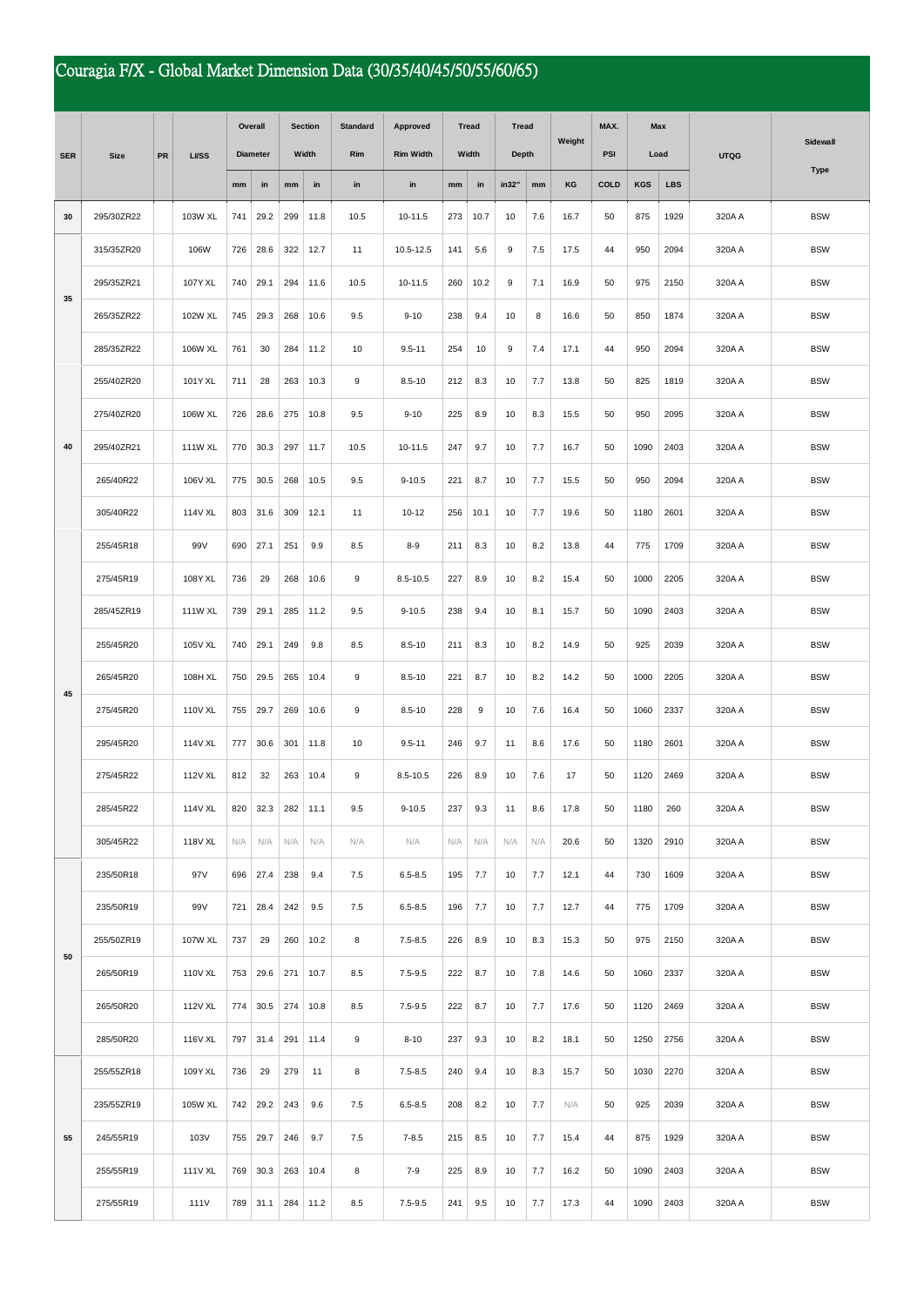## Couragia F/X - Global Market Dimension Data (30/35/40/45/50/55/60/65)

|            | <b>Size</b> | <b>PR</b> | <b>LI/SS</b> | Overall         |      | <b>Section</b> |      | <b>Standard</b> | Approved         | <b>Tread</b> |      | Tread        |     |        | MAX. | Max<br><b>PSI</b><br>Load |            | <b>UTQG</b> | <b>Sidewall</b> |
|------------|-------------|-----------|--------------|-----------------|------|----------------|------|-----------------|------------------|--------------|------|--------------|-----|--------|------|---------------------------|------------|-------------|-----------------|
| <b>SER</b> |             |           |              | <b>Diameter</b> |      | Width          |      | Rim             | <b>Rim Width</b> | Width        |      | <b>Depth</b> |     | Weight |      |                           |            |             |                 |
|            |             |           |              | $\mathbf{mm}$   | in   | mm             | in   | in              | in               | mm           | in   | in32"        | mm  | KG     | COLD | <b>KGS</b>                | <b>LBS</b> |             | <b>Type</b>     |
| 30         | 295/30ZR22  |           | 103W XL      | 741             | 29.2 | 299            | 11.8 | 10.5            | 10-11.5          | 273          | 10.7 | 10           | 7.6 | 16.7   | 50   | 875                       | 1929       | 320A A      | <b>BSW</b>      |
|            | 315/35ZR20  |           | 106W         | 726             | 28.6 | 322            | 12.7 | 11              | 10.5-12.5        | 141          | 5.6  | 9            | 7.5 | 17.5   | 44   | 950                       | 2094       | 320A A      | <b>BSW</b>      |
|            | 295/35ZR21  |           | 107Y XL      | 740             | 29.1 | 294            | 11.6 | 10.5            | 10-11.5          | 260          | 10.2 | 9            | 7.1 | 16.9   | 50   | 975                       | 2150       | 320A A      | <b>BSW</b>      |
| 35         | 265/35ZR22  |           | 102W XL      | 745             | 29.3 | 268            | 10.6 | 9.5             | $9 - 10$         | 238          | 9.4  | 10           | 8   | 16.6   | 50   | 850                       | 1874       | 320A A      | <b>BSW</b>      |
|            | 285/35ZR22  |           | 106W XL      | 761             | 30   | 284            | 11.2 | 10              | $9.5 - 11$       | 254          | 10   | 9            | 7.4 | 17.1   | 44   | 950                       | 2094       | 320A A      | <b>BSW</b>      |
|            | 255/40ZR20  |           | 101Y XL      | 711             | 28   | 263            | 10.3 | 9               | $8.5 - 10$       | 212          | 8.3  | 10           | 7.7 | 13.8   | 50   | 825                       | 1819       | 320A A      | <b>BSW</b>      |
|            | 275/40ZR20  |           | 106W XL      | 726             | 28.6 | 275            | 10.8 | 9.5             | $9 - 10$         | 225          | 8.9  | 10           | 8.3 | 15.5   | 50   | 950                       | 2095       | 320A A      | <b>BSW</b>      |
| 40         | 295/40ZR21  |           | 111W XL      | 770             | 30.3 | 297            | 11.7 | 10.5            | 10-11.5          | 247          | 9.7  | 10           | 7.7 | 16.7   | 50   | 1090                      | 2403       | 320A A      | <b>BSW</b>      |
|            | 265/40R22   |           | 106V XL      | 775             | 30.5 | 268            | 10.5 | 9.5             | $9 - 10.5$       | 221          | 8.7  | 10           | 7.7 | 15.5   | 50   | 950                       | 2094       | 320A A      | <b>BSW</b>      |
|            | 305/40R22   |           | 114V XL      | 803             | 31.6 | 309            | 12.1 | 11              | $10 - 12$        | 256          | 10.1 | 10           | 7.7 | 19.6   | 50   | 1180                      | 2601       | 320A A      | <b>BSW</b>      |
|            | 255/45R18   |           | 99V          | 690             | 27.1 | 251            | 9.9  | 8.5             | $8 - 9$          | 211          | 8.3  | 10           | 8.2 | 13.8   | 44   | 775                       | 1709       | 320A A      | <b>BSW</b>      |
|            | 275/45R19   |           | 108Y XL      | 736             | 29   | 268            | 10.6 | 9               | 8.5-10.5         | 227          | 8.9  | 10           | 8.2 | 15.4   | 50   | 1000                      | 2205       | 320A A      | <b>BSW</b>      |
|            | 285/45ZR19  |           | 111W XL      | 739             | 29.1 | 285            | 11.2 | 9.5             | $9 - 10.5$       | 238          | 9.4  | 10           | 8.1 | 15.7   | 50   | 1090                      | 2403       | 320A A      | <b>BSW</b>      |
|            | 255/45R20   |           | 105V XL      | 740             | 29.1 | 249            | 9.8  | 8.5             | $8.5 - 10$       | 211          | 8.3  | 10           | 8.2 | 14.9   | 50   | 925                       | 2039       | 320A A      | <b>BSW</b>      |
| 45         | 265/45R20   |           | 108H XL      | 750             | 29.5 | 265            | 10.4 | 9               | $8.5 - 10$       | 221          | 8.7  | 10           | 8.2 | 14.2   | 50   | 1000                      | 2205       | 320A A      | <b>BSW</b>      |
|            | 275/45R20   |           | 110V XL      | 755             | 29.7 | 269            | 10.6 | 9               | $8.5 - 10$       | 228          | 9    | 10           | 7.6 | 16.4   | 50   | 1060                      | 2337       | 320A A      | <b>BSW</b>      |
|            | 295/45R20   |           | 114V XL      | 777             | 30.6 | 301            | 11.8 | 10              | $9.5 - 11$       | 246          | 9.7  | 11           | 8.6 | 17.6   | 50   | 1180                      | 2601       | 320A A      | <b>BSW</b>      |
|            | 275/45R22   |           | 112V XL      | 812             | 32   | 263            | 10.4 | 9               | $8.5 - 10.5$     | 226          | 8.9  | 10           | 7.6 | 17     | 50   | 1120                      | 2469       | 320A A      | <b>BSW</b>      |
|            | 285/45R22   |           | 114V XL      | 820             | 32.3 | 282            | 11.1 | 9.5             | $9 - 10.5$       | 237          | 9.3  | 11           | 8.6 | 17.8   | 50   | 1180                      | 260        | 320A A      | <b>BSW</b>      |
|            | 305/45R22   |           | 118V XL      | N/A             | N/A  | N/A            | N/A  | N/A             | N/A              | N/A          | N/A  | N/A          | N/A | 20.6   | 50   | 1320                      | 2910       | 320A A      | <b>BSW</b>      |
|            | 235/50R18   |           | 97V          | 696             | 27.4 | 238            | 9.4  | 7.5             | $6.5 - 8.5$      | 195          | 7.7  | 10           | 7.7 | 12.1   | 44   | 730                       | 1609       | 320A A      | <b>BSW</b>      |
|            | 235/50R19   |           | 99V          | 721             | 28.4 | 242            | 9.5  | 7.5             | $6.5 - 8.5$      | 196          | 7.7  | 10           | 7.7 | 12.7   | 44   | 775                       | 1709       | 320A A      | <b>BSW</b>      |
| 50         | 255/50ZR19  |           | 107W XL      | 737             | 29   | 260            | 10.2 | 8               | $7.5 - 8.5$      | 226          | 8.9  | 10           | 8.3 | 15.3   | 50   | 975                       | 2150       | 320A A      | <b>BSW</b>      |
|            | 265/50R19   |           | 110V XL      | 753             | 29.6 | 271            | 10.7 | 8.5             | $7.5 - 9.5$      | 222          | 8.7  | 10           | 7.8 | 14.6   | 50   | 1060                      | 2337       | 320A A      | <b>BSW</b>      |
|            | 265/50R20   |           | 112V XL      | 774             | 30.5 | 274            | 10.8 | 8.5             | $7.5 - 9.5$      | 222          | 8.7  | 10           | 7.7 | 17.6   | 50   | 1120                      | 2469       | 320A A      | <b>BSW</b>      |
|            | 285/50R20   |           | 116V XL      | 797             | 31.4 | 291            | 11.4 | 9               | $8 - 10$         | 237          | 9.3  | 10           | 8.2 | 18.1   | 50   | 1250                      | 2756       | 320A A      | <b>BSW</b>      |
|            | 255/55ZR18  |           | 109Y XL      | 736             | 29   | 279            | 11   | 8               | $7.5 - 8.5$      | 240          | 9.4  | 10           | 8.3 | 15.7   | 50   | 1030                      | 2270       | 320A A      | <b>BSW</b>      |
|            | 235/55ZR19  |           | 105W XL      | 742             | 29.2 | 243            | 9.6  | 7.5             | $6.5 - 8.5$      | 208          | 8.2  | 10           | 7.7 | N/A    | 50   | 925                       | 2039       | 320A A      | <b>BSW</b>      |
| 55         | 245/55R19   |           | 103V         | 755             | 29.7 | 246            | 9.7  | 7.5             | $7 - 8.5$        | 215          | 8.5  | 10           | 7.7 | 15.4   | 44   | 875                       | 1929       | 320A A      | <b>BSW</b>      |
|            | 255/55R19   |           | 111V XL      | 769             | 30.3 | 263            | 10.4 | 8               | $7 - 9$          | 225          | 8.9  | 10           | 7.7 | 16.2   | 50   | 1090                      | 2403       | 320A A      | <b>BSW</b>      |
|            | 275/55R19   |           | 111V         | 789             | 31.1 | 284            | 11.2 | 8.5             | $7.5 - 9.5$      | 241          | 9.5  | 10           | 7.7 | 17.3   | 44   | 1090                      | 2403       | 320A A      | <b>BSW</b>      |